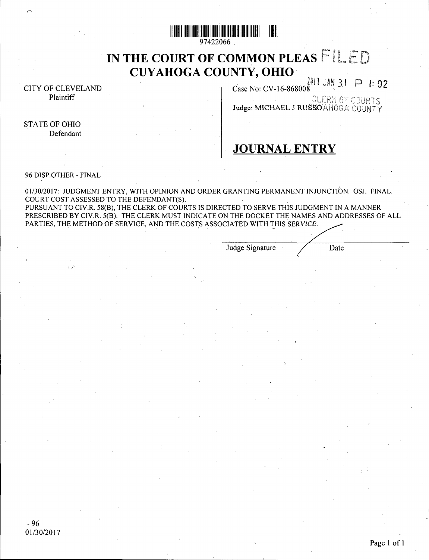

97422066

# IN THE COURT OF COMMON PLEAS FIL 'HE COURT OF COMMON PL<br>CUYAHOGA COUNTY, OHIO

CITY OF CLEVELAND Plaintiff

JUD 1: 02<br>Case No: CV-16-868008<br>Judge: MICHAEL J RUSSO'AHOGA COUNTY

# **STATE OF OHIO** Defendant

# JOURNALENTRY

# 96 DISP.OTHER - FINAL

01/30/2017: JUDGMENTENTRY, WITHOPINIONANDORDERGRANTINGPERMANENTINJUNCTION. OSJ. FINAL. 01/30/2017: JUDGMENT ENTRY, WITH OPINION A<br>COURT COST ASSESSED TO THE DEFENDANT(S). COURT COST ASSESSED TO THE DEFENDANT(S).<br>PURSUANT TO CIV.R. 58(B), THE CLERK OF COURTS IS DIRECTED TO SERVE THIS JUDGMENT IN A MANNER PURSUANT TO CIV.R. 58(B), THE CLERK OF COURTS IS DIRECTED TO SERVE THIS JUDGMENT IN A MANNER<br>PRESCRIBED BY CIV.R. 5(B). THE CLERK MUST INDICATE ON THE DOCKET THE NAMES AND ADDRESSES OF ALL<br>PAESCRIB EUR LETTER THE CLERK IN PRESCRIBED BY CIV.R. 5(B). THE CLERK MUST INDICATE ON THE DOCKET THE NAME<br>PARTIES, THE METHOD OF SERVICE, AND THE COSTS ASSOCIATED WITH THIS SERVIC

Judge Signature

Date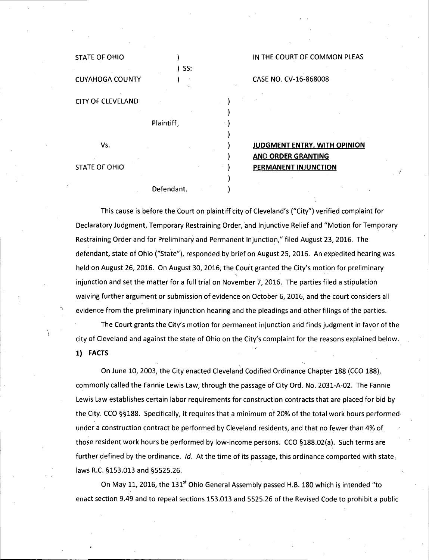| <b>STATE OF OHIO</b>     | SS:        |
|--------------------------|------------|
| <b>CUYAHOGA COUNTY</b>   |            |
| <b>CITY OF CLEVELAND</b> |            |
|                          | Plaintiff, |
| Vs.                      |            |
| <b>STATE OF OHIO</b>     |            |

Defendant.

# IN THE COURT OF COMMON PLEAS

CASE NO. CV-16-868008

JUDGMENT ENTRY, WITH OPINION **AND ORDER GRANTING** PERMANENT INJUNCTION

This cause is before the Court on plaintiff city of Cleveland's ("City") verified complaint for Declaratory Judgment, Temporary Restraining Order, and Injunctive Relief and "Motion for Temporary Restraining Order and for Preliminary and Permanent Injunction," filed August 23, 2016. The defendant, state of Ohio ("State"), responded by brief on August 25, 2016. An expedited hearing was held on August 26, 2016. On August 30) 2016, the Court granted the City's motion for preliminary injunction and set the matter for a full trial on November 7, 2016. The parties filed a stipulation waiving further argument or submission of evidence on October 6, 2016, and the court considers all evidence from the preliminary injunction hearing and the pleadings and other filings of the parties.

The Court grants the City's motion for permanent injunction arid finds judgment in favor of the city of Cleveland and against the state of Ohio on the City's complaint for the reasons explained below.

1) FACTS

OnJune 10, 2003, the City enacted Cleveland Codified Ordinance Chapter 188 (CCO 188), commonlycalled the Fannie Lewis Law, through the passage of City Ord. No. 2031-A-02. The Fannie Lewis Law establishes certain labor requirements for construction contracts that are placed for bid by the City. CCO §§188. Specifically, it requires that a minimum of 20% of the total work hours performed under a construction contract be performed by Cleveland residents, and that no fewer than 4% of those resident work hours be performed by low-income persons. CCO §188.02(a). Such terms are further defined by the ordinance. *Id*. At the time of its passage, this ordinance comported with state, laws R.C. §153.013 and §5525.26.

On May 11, 2016, the 131<sup>st</sup> Ohio General Assembly passed H.B. 180 which is intended "to enact section 9.49 and to repeal sections 153.013 and 5525.26 of the Revised Code to prohibit a public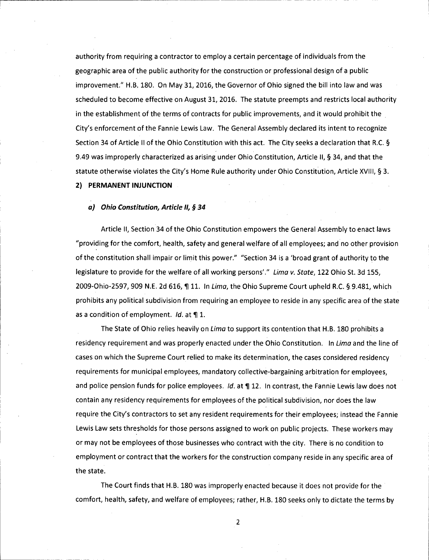authority from requiring a contractor to employ a certain percentage of individuals from the geographic area of the public authority for the construction or professional design of a public improvement." H.B. 180. On May31, 2016, the Governor of Ohio signed the bill into law and was scheduled to become effective on August 31, 2016. The statute preempts and restricts local authority in the establishment of the terms of contracts for public improvements, and it would prohibit the City's enforcement of the Fannie Lewis Law. The General Assembly declared its intent to recognize Section 34 of Article II of the Ohio Constitution with this act. The City seeks a declaration that R.C. § 9.49 was improperly characterized as arising under Ohio Constitution, Article II, § 34, and that the statute otherwise violates the City's Home Rule authority under Ohio Constitution, Article XVIII, § 3.

# 2) PERMANENT INJUNCTION

#### *a) OhioConstitution, Article II, <sup>34</sup>*

Article II, Section 34 of the Ohio Constitution empowersthe General Assembly to enact laws "providing for the comfort, health, safety and general welfare of all employees; and no other provision of the constitution shall impair or limit this power." "Section 34 is a 'broad grant of authority to the legislature to provide for the welfare of all working persons'." *Lima v. State,* 122 Ohio St. 3d 155, 2009-Ohio-2597, 909 N.E. 2d 616, ¶ 11. In *Lima*, the Ohio Supreme Court upheld R.C. § 9.481, which prohibits any political subdivision from requiring an employee to reside in any specific area ofthe state as a condition of employment. *Id.* at **1**.

The State of Ohio relies heavily on *Lima*to support its contention that H.B. 180 prohibits residency requirement and was properly enacted under the Ohio Constitution. In *Lima* and the line of cases on which the Supreme Court relied to make its determination, the cases considered residency requirements for municipal employees, mandatory collective-bargaining arbitration for employees, and police pension funds for police employees. *Id.* at **1** 12. In contrast, the Fannie Lewis law does not contain any residency requirements for employees of the political subdivision, nor does the law require the City's contractors to set any resident requirements for their employees; instead the Fannie Lewis Law sets thresholds for those persons assigned to work on public projects. These workers may or may not be employees of those businesses who contract with the city. There is no condition to employment or contract that the workers for the construction company reside in any specific area of the state.

The Court finds that H.B. 180 was improperly enacted because it does not provide for the comfort, health, safety, and welfare of employees; rather, H.B. 180 seeks only to dictate the terms by

 $\overline{2}$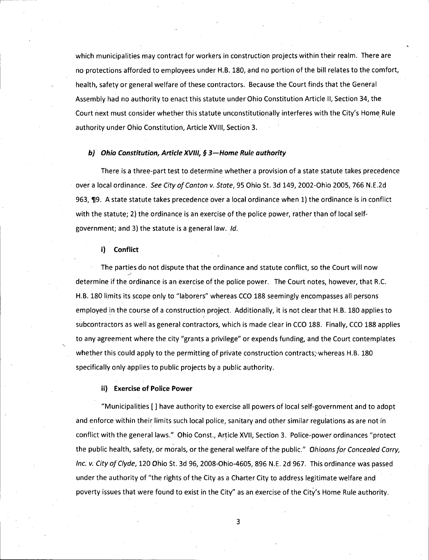which municipalities may contract for workers in construction projects within their realm. There are no protections afforded to employees under H.B. 180, and no portion ofthe bill relates to the comfort, health, safety or general welfare of these contractors. Because the Court finds that the General Assembly had no authority to enact this statute under Ohio Constitution Article II, Section 34, the Court next must consider whether this statute unconstitutionally interferes with the City's Home Rule authority under Ohio Constitution, Article XVIII, Section 3.

#### *b) Ohio Constitution, Article XVIII, § 3-Home Rule authority*

There is a three-part test to determine whether a provision of a state statute takes precedence over local ordinance. *See City ofCanton v. State,* 95 Ohio St. 3d 149, 2002-Ohio 2005, 766 N.E.2d 963, ¶9. A state statute takes precedence over a local ordinance when 1) the ordinance is in conflict with the statute; 2) the ordinance is an exercise of the police power, rather than of local selfgovernment; and 3) the statute is general law. *Id.*

#### i) Conflict

The parties do not dispute that the ordinance and statute conflict, so the Court will now determine if the ordinance is an exercise ofthe police power. The Court notes, however, that R.C. H.B. 180 limits its scope only to "laborers" whereas CCO 188 seemingly encompasses all persons employed in the course of a construction project. Additionally, it is not clear that H.B. 180 applies to subcontractors as well as general contractors, which is made clear in CCO 188. Finally, CCO 188 applies to any agreement where the city "grants a privilege" or expends funding, and the Court contemplates whether this could apply to the permitting of private construction contracts, whereas H.B. 180 specifically only applies to public projects by a public authority.

#### ii) Exercise of Police Power

"Municipalities [] have authority to exercise all powers of local self-government and to adopt and enforce within their limits such local police, sanitary and other similar regulations as are not in conflict with the general laws." Ohio Const., Article XVII, Section 3. Police-power ordinances "protect the public health, safety, or morals, or the general welfare ofthe public." *Ohioansfor Concealed Carry, Inc. v. City ofClyde,* 120 Ohio St. 3d 96, 2008-0hio-4605, 896 N.E. 2d 967. This ordinance was passed under the authority of "the rights of the City as a Charter City to address legitimate welfare and poverty issues that were found to exist in the City" as an exercise of the City's Home Rule authority.

 $\overline{3}$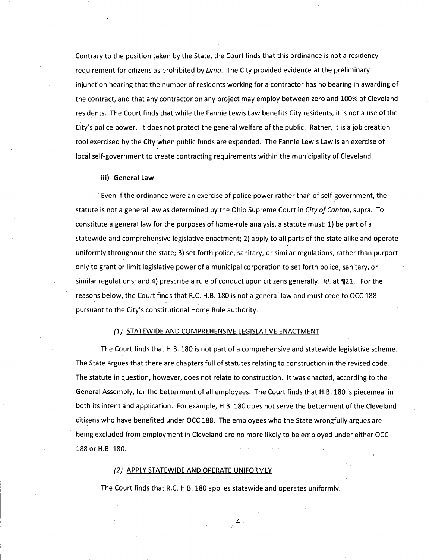Contrary to the position taken by the State, the Court finds that this ordinance is not a residency requirement for citizens as prohibited by *Lima.* The City provided evidence at the preliminary injunction hearing that the number of residents working for a contractor has no bearing in awarding of the contract, and that any contractor on any project mayemploy between zero and 100%of Cleveland residents. The Court finds that while the Fannie Lewis Law benefits City residents, it is not a use of the City's police power. It does not protect the general welfare of the public. Rather, it is a job creation tool exercised by the City when public funds are expended. The Fannie Lewis Law is an exercise of local self-government to create contracting requirements within the municipality of Cleveland.

#### iii) General Law

Even if the ordinance were an exercise of police power rather than of self-government, the statute is not general law as determined by the Ohio Supreme Court in *City ofCanton,* supra. To constitute a general law for the purposes of home-rule analysis, a statute must: 1) be part of a statewide and comprehensive legislative enactment; 2) apply to all parts of the state alike and operate uniformly throughout the state; 3) set forth police, sanitary, or similar regulations, rather than purport only to grant or limit legislative power of a municipal corporation to set forth police, sanitary, or similar regulations; and 4) prescribe a rule of conduct upon citizens generally. *Id.* at ¶21. For the reasons below, the Court finds that R.C. H.B. 180 is not a general law and must cede to OCC 188 pursuant to the City's constitutional Home Rule authority.

#### *(1)* STATEWIDE AND COMPREHENSIVE LEGISLATIVE ENACTMENT

The Court finds that H.B. 180 is not part of a comprehensive and statewide legislative scheme. The State argues that there are chapters full of statutes relating to construction in the revised code. The statute in question, however, does not relate to construction. It was enacted, according to the General Assembly, for the betterment of all employees. The Court finds that H.B. 180 is piecemeal in both its intent and application. For example, H.B. 180 does not serve the betterment of the Cleveland citizens who have benefited under OCC 188. The employees who the State wrongfully argues are being excluded from employment in Cleveland are no more likely to be employed under either OCC 188 or H.B. 180.

#### *(2)* APPLYSTATEWIDE ANDOPERATE UNIFORMLY

The Court finds that R.C. H.B. 180 applies statewide and operates uniformly.

4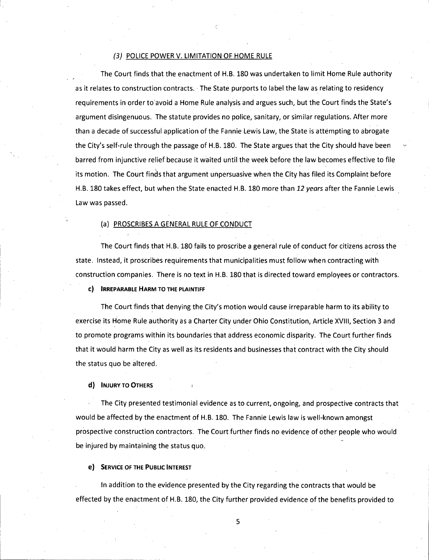#### *(3)* POLICE POWERV. LIMITATION OF HOME RULE

The Court finds that the enactment of H.B. 180 was undertaken to limit Home Rule authority as it relates to construction contracts. The State purports to label the law as relating to residency requirements in order to avoid a Home Rule analysis and argues such, but the Court finds the State's argument disingenuous. The statute provides no police, sanitary, or similar regulations. After more than a decade of successful application of the Fannie Lewis Law, the State is attempting to abrogate the City's self-rule through the passage of H.B. 180. The State argues that the City should have been barred from injunctive relief because it waited until the week before the law becomes effective to file its motion. The Court finds that argument unpersuasive when the City has filed its Complaint before H.B. 180 takes effect, but when the State enacted H.B. 180 more than *<sup>12</sup> years* after the Fannie Lewis Law was passed.

#### (a) PROSCRIBES A GENERAL RULE OF CONDUCT

The Court finds that H.B. 180 fails to proscribe a general rule of conduct for citizens across the state. Instead, it proscribes requirements that municipalities must follow when contracting with construction companies. There is no text in H.B. 180 that is directed toward employees or contractors.

c) IRREPARABLE HARM TO THE PLAINTIFF

The Court finds that denying the City's motion would cause irreparable harm to its ability to exercise its Home Rule authority as a Charter City under Ohio Constitution, Article XVIII, Section 3 and to promote programs within its boundaries that address economic disparity. The Court further finds that it would harm the City as well as its residents and businesses that contract with the City should the status quo be altered.

d) INJURY TO OTHERS

The City presented testimonial evidence as to current, ongoing, and prospective contracts that would be affected by the enactment of H.B. 180. The Fannie Lewis law is well-known amongst prospective construction contractors. The Court further finds no evidence of other people whowould be injured by maintaining the status quo.

e) SERVICE OF THE PUBLIC INTEREST

In addition to the evidence presented by the City regarding the contracts that would be effected by the enactment of H.B. 180, the City further provided evidence ofthe benefits provided to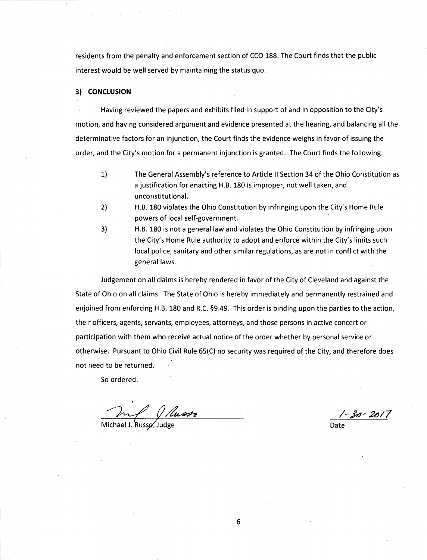residents from the penalty and enforcement section of CCO 188. The Court finds that the public interest would be well served by maintaining the status quo.

## 3) CONCLUSION

Having reviewed the papers and exhibits filed in support of and in opposition to the City's motion, and having considered argument and evidence presented at the hearing, and balancing all the determinative factors for an injunction, the Court finds the evidence weighs in favor of issuing the order, and the City's motion for a permanent injunction is granted. The Court finds the following:

- 1) The General Assembly's reference to Article II Section 34 of the Ohio Constitution as a justification for enacting H.B. 180 is improper, not well taken, and unconstitutional.
- 2) H.B. 180 violates the Ohio Constitution by infringing upon the City's Home Rule powers of local self-government.
- 
- 3) H.B. 180 is not general law and violates the Ohio Constitution by infringing upon the City's Home Rule authority to adopt and enforce within the City's limits such local police, sanitary and other similar regulations, as are not in conflict with the general laws.

Judgement on all claims is hereby rendered in favor of the City of Cleveland and against the State of Ohio on all claims. The State of Ohio is hereby immediately and permanently restrained and enjoined from enforcing H.B. 180 and R.C. §9.49. This order is binding upon the parties to the action, their officers, agents, servants, employees, attorneys, and those persons in active concert or participation with them who receive actual notice of the order whether by personal service or otherwise. Pursuant to Ohio Civil Rule 65(C) no security was required of the City, and therefore does not need to be returned.

So ordered.

Michael J. Russo, Judge

*/-£}' 2a/7* Date